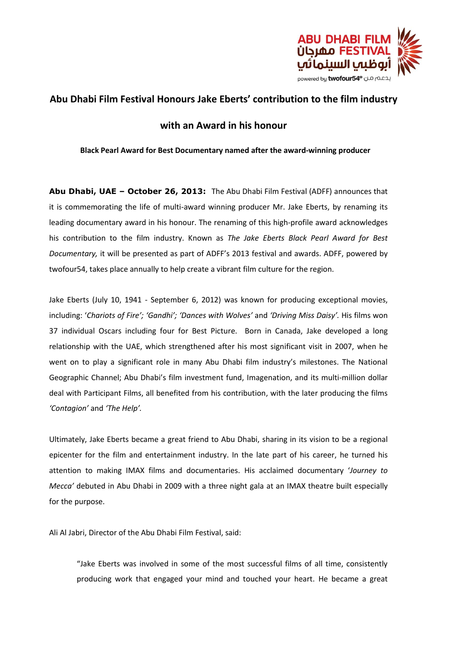

# **Abu Dhabi Film Festival Honours Jake Eberts' contribution to the film industry**

## **with an Award in his honour**

## **Black Pearl Award for Best Documentary named after the award-winning producer**

**Abu Dhabi, UAE – October 26, 2013:** The Abu Dhabi Film Festival (ADFF) announces that it is commemorating the life of multi-award winning producer Mr. Jake Eberts, by renaming its leading documentary award in his honour. The renaming of this high-profile award acknowledges his contribution to the film industry. Known as *The Jake Eberts Black Pearl Award for Best Documentary,* it will be presented as part of ADFF's 2013 festival and awards. ADFF, powered by twofour54, takes place annually to help create a vibrant film culture for the region.

Jake Eberts (July 10, 1941 - September 6, 2012) was known for producing exceptional movies, including: '*Chariots of Fire'; 'Gandhi'; 'Dances with Wolves'* and *'Driving Miss Daisy'.* His films won 37 individual Oscars including four for Best Picture. Born in Canada, Jake developed a long relationship with the UAE, which strengthened after his most significant visit in 2007, when he went on to play a significant role in many Abu Dhabi film industry's milestones. The National Geographic Channel; Abu Dhabi's film investment fund, Imagenation, and its multi-million dollar deal with Participant Films, all benefited from his contribution, with the later producing the films *'Contagion'* and *'The Help'.* 

Ultimately, Jake Eberts became a great friend to Abu Dhabi, sharing in its vision to be a regional epicenter for the film and entertainment industry. In the late part of his career, he turned his attention to making IMAX films and documentaries. His acclaimed documentary '*Journey to Mecca'* debuted in Abu Dhabi in 2009 with a three night gala at an IMAX theatre built especially for the purpose.

Ali Al Jabri, Director of the Abu Dhabi Film Festival, said:

"Jake Eberts was involved in some of the most successful films of all time, consistently producing work that engaged your mind and touched your heart. He became a great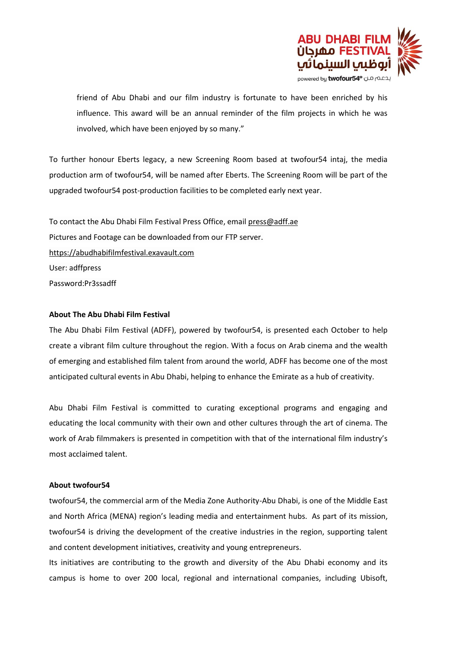

friend of Abu Dhabi and our film industry is fortunate to have been enriched by his influence. This award will be an annual reminder of the film projects in which he was involved, which have been enjoyed by so many."

To further honour Eberts legacy, a new Screening Room based at twofour54 intaj, the media production arm of twofour54, will be named after Eberts. The Screening Room will be part of the upgraded twofour54 post-production facilities to be completed early next year.

To contact the Abu Dhabi Film Festival Press Office, email [press@adff.ae](mailto:press@adff.ae) Pictures and Footage can be downloaded from our FTP server. [https://abudhabifilmfestival.exavault.com](https://abudhabifilmfestival.exavault.com/) User: adffpress Password:Pr3ssadff

### **About The Abu Dhabi Film Festival**

The Abu Dhabi Film Festival (ADFF), powered by twofour54, is presented each October to help create a vibrant film culture throughout the region. With a focus on Arab cinema and the wealth of emerging and established film talent from around the world, ADFF has become one of the most anticipated cultural events in Abu Dhabi, helping to enhance the Emirate as a hub of creativity.

Abu Dhabi Film Festival is committed to curating exceptional programs and engaging and educating the local community with their own and other cultures through the art of cinema. The work of Arab filmmakers is presented in competition with that of the international film industry's most acclaimed talent.

### **About twofour54**

twofour54, the commercial arm of the Media Zone Authority-Abu Dhabi, is one of the Middle East and North Africa (MENA) region's leading media and entertainment hubs. As part of its mission, twofour54 is driving the development of the creative industries in the region, supporting talent and content development initiatives, creativity and young entrepreneurs.

Its initiatives are contributing to the growth and diversity of the Abu Dhabi economy and its campus is home to over 200 local, regional and international companies, including Ubisoft,